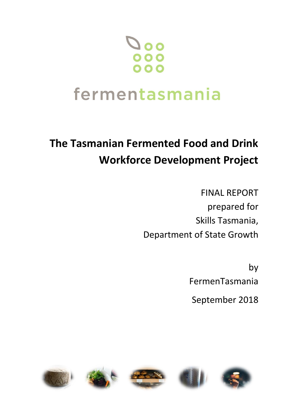# $0<sup>o</sup>$

# fermentasmania

# **The Tasmanian Fermented Food and Drink Workforce Development Project**

FINAL REPORT prepared for Skills Tasmania, Department of State Growth

> by FermenTasmania

September 2018

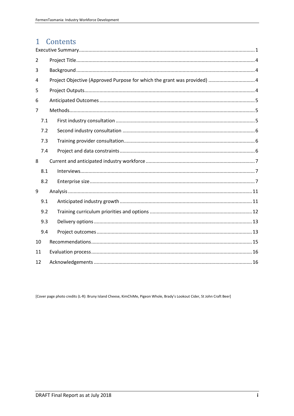# 1 Contents

| 2              |     |  |  |  |  |  |  |  |  |  |
|----------------|-----|--|--|--|--|--|--|--|--|--|
| 3              |     |  |  |  |  |  |  |  |  |  |
| 4              |     |  |  |  |  |  |  |  |  |  |
| 5              |     |  |  |  |  |  |  |  |  |  |
| 6              |     |  |  |  |  |  |  |  |  |  |
| $\overline{7}$ |     |  |  |  |  |  |  |  |  |  |
|                | 7.1 |  |  |  |  |  |  |  |  |  |
|                | 7.2 |  |  |  |  |  |  |  |  |  |
|                | 7.3 |  |  |  |  |  |  |  |  |  |
|                | 7.4 |  |  |  |  |  |  |  |  |  |
|                |     |  |  |  |  |  |  |  |  |  |
| 8              |     |  |  |  |  |  |  |  |  |  |
|                | 8.1 |  |  |  |  |  |  |  |  |  |
|                | 8.2 |  |  |  |  |  |  |  |  |  |
| 9              |     |  |  |  |  |  |  |  |  |  |
|                | 9.1 |  |  |  |  |  |  |  |  |  |
|                | 9.2 |  |  |  |  |  |  |  |  |  |
|                | 9.3 |  |  |  |  |  |  |  |  |  |
|                | 9.4 |  |  |  |  |  |  |  |  |  |
| 10             |     |  |  |  |  |  |  |  |  |  |
| 11             |     |  |  |  |  |  |  |  |  |  |

[Cover page photo credits (L-R): Bruny Island Cheese, KimChiMe, Pigeon Whole, Brady's Lookout Cider, St John Craft Beer]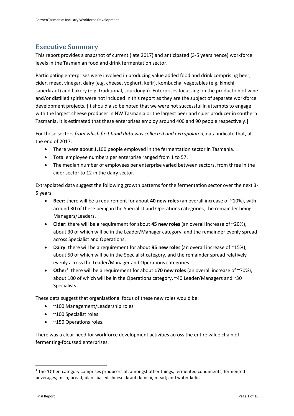# <span id="page-2-0"></span>**Executive Summary**

This report provides a snapshot of current (late 2017) and anticipated (3-5 years hence) workforce levels in the Tasmanian food and drink fermentation sector.

Participating enterprises were involved in producing value added food and drink comprising beer, cider, mead, vinegar, dairy (e.g. cheese, yoghurt, kefir), kombucha, vegetables (e.g. kimchi, sauerkraut) and bakery (e.g. traditional, sourdough). Enterprises focussing on the production of wine and/or distilled spirits were not included in this report as they are the subject of separate workforce development projects. [It should also be noted that we were not successful in attempts to engage with the largest cheese producer in NW Tasmania or the largest beer and cider producer in southern Tasmania. It is estimated that these enterprises employ around 400 and 90 people respectively.]

For those sectors *from which first hand data was collected and extrapolated*, data indicate that, at the end of 2017:

- There were about 1,100 people employed in the fermentation sector in Tasmania.
- Total employee numbers per enterprise ranged from 1 to 57.
- The median number of employees per enterprise varied between sectors, from three in the cider sector to 12 in the dairy sector.

Extrapolated data suggest the following growth patterns for the fermentation sector over the next 3- 5 years:

- **Beer**: there will be a requirement for about **40 new roles** (an overall increase of ~10%), with around 30 of these being in the Specialist and Operations categories, the remainder being Managers/Leaders.
- **Cider**: there will be a requirement for about **45 new roles** (an overall increase of ~20%), about 30 of which will be in the Leader/Manager category, and the remainder evenly spread across Specialist and Operations.
- **Dairy**: there will be a requirement for about **95 new role**s (an overall increase of ~15%), about 50 of which will be in the Specialist category, and the remainder spread relatively evenly across the Leader/Manager and Operations categories.
- **•** Other<sup>1</sup>: there will be a requirement for about 170 new roles (an overall increase of ~70%), about 100 of which will be in the Operations category, ~40 Leader/Managers and ~30 Specialists.

These data suggest that organisational focus of these new roles would be:

- ~100 Management/Leadership roles
- ~100 Specialist roles
- ~150 Operations roles.

There was a clear need for workforce development activities across the entire value chain of fermenting-focussed enterprises.

1

 $1$  The 'Other' category comprises producers of, amongst other things, fermented condiments; fermented beverages; miso; bread; plant-based cheese; kraut; kimchi; mead; and water kefir.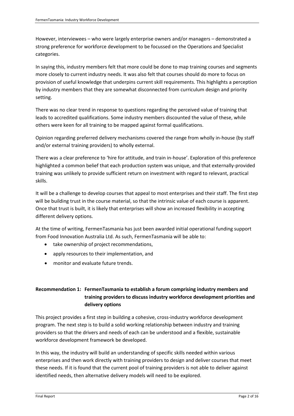However, interviewees – who were largely enterprise owners and/or managers – demonstrated a strong preference for workforce development to be focussed on the Operations and Specialist categories.

In saying this, industry members felt that more could be done to map training courses and segments more closely to current industry needs. It was also felt that courses should do more to focus on provision of useful knowledge that underpins current skill requirements. This highlights a perception by industry members that they are somewhat disconnected from curriculum design and priority setting.

There was no clear trend in response to questions regarding the perceived value of training that leads to accredited qualifications. Some industry members discounted the value of these, while others were keen for all training to be mapped against formal qualifications.

Opinion regarding preferred delivery mechanisms covered the range from wholly in-house (by staff and/or external training providers) to wholly external.

There was a clear preference to 'hire for attitude, and train in-house'. Exploration of this preference highlighted a common belief that each production system was unique, and that externally-provided training was unlikely to provide sufficient return on investment with regard to relevant, practical skills.

It will be a challenge to develop courses that appeal to most enterprises and their staff. The first step will be building trust in the course material, so that the intrinsic value of each course is apparent. Once that trust is built, it is likely that enterprises will show an increased flexibility in accepting different delivery options.

At the time of writing, FermenTasmania has just been awarded initial operational funding support from Food Innovation Australia Ltd. As such, FermenTasmania will be able to:

- take ownership of project recommendations,
- apply resources to their implementation, and
- monitor and evaluate future trends.

#### **Recommendation 1: FermenTasmania to establish a forum comprising industry members and training providers to discuss industry workforce development priorities and delivery options**

This project provides a first step in building a cohesive, cross-industry workforce development program. The next step is to build a solid working relationship between industry and training providers so that the drivers and needs of each can be understood and a flexible, sustainable workforce development framework be developed.

In this way, the industry will build an understanding of specific skills needed within various enterprises and then work directly with training providers to design and deliver courses that meet these needs. If it is found that the current pool of training providers is not able to deliver against identified needs, then alternative delivery models will need to be explored.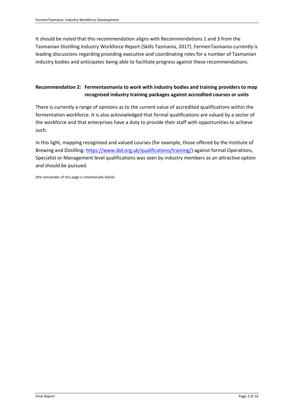It should be noted that this recommendation aligns with Recommendations 1 and 3 from the Tasmanian Distilling Industry Workforce Report (Skills Tasmania, 2017). FermenTasmania currently is leading discussions regarding providing executive and coordinating roles for a number of Tasmanian industry bodies and anticipates being able to facilitate progress against these recommendations.

#### **Recommendation 2: Fermentasmania to work with industry bodies and training providers to map recognised industry training packages against accredited courses or units**

There is currently a range of opinions as to the current value of accredited qualifications within the fermentation workforce. It is also acknowledged that formal qualifications are valued by a sector of the workforce and that enterprises have a duty to provide their staff with opportunities to achieve such.

In this light, mapping recognised and valued courses (for example, those offered by the Institute of Brewing and Distilling: [https://www.ibd.org.uk/qualifications/training/\)](https://www.ibd.org.uk/qualifications/training/) against formal Operations, Specialist or Management level qualifications was seen by industry members as an attractive option and should be pursued.

(the remainder of this page is intentionally blank)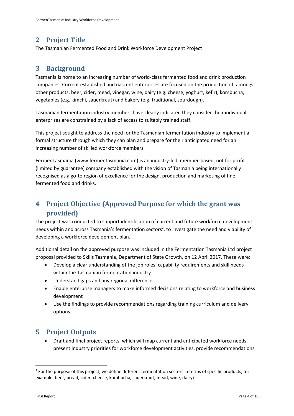# <span id="page-5-0"></span>**2 Project Title**

The Tasmanian Fermented Food and Drink Workforce Development Project

# <span id="page-5-1"></span>**3 Background**

Tasmania is home to an increasing number of world-class fermented food and drink production companies. Current established and nascent enterprises are focused on the production of, amongst other products, beer, cider, mead, vinegar, wine, dairy (e.g. cheese, yoghurt, kefir), kombucha, vegetables (e.g. kimchi, sauerkraut) and bakery (e.g. traditional, sourdough).

Tasmanian fermentation industry members have clearly indicated they consider their individual enterprises are constrained by a lack of access to suitably trained staff.

This project sought to address the need for the Tasmanian fermentation industry to implement a formal structure through which they can plan and prepare for their anticipated need for an increasing number of skilled workforce members.

FermenTasmania (www.fermentasmania.com) is an industry-led, member-based, not for profit (limited by guarantee) company established with the vision of Tasmania being internationally recognised as a go-to region of excellence for the design, production and marketing of fine fermented food and drinks.

# <span id="page-5-2"></span>**4 Project Objective (Approved Purpose for which the grant was provided)**

The project was conducted to support identification of current and future workforce development needs within and across Tasmania's fermentation sectors<sup>2</sup>, to investigate the need and viability of developing a workforce development plan.

Additional detail on the approved purpose was included in the Fermentation Tasmania Ltd project proposal provided to Skills Tasmania, Department of State Growth, on 12 April 2017. These were:

- Develop a clear understanding of the job roles, capability requirements and skill needs within the Tasmanian fermentation industry
- Understand gaps and any regional differences
- Enable enterprise managers to make informed decisions relating to workforce and business development
- Use the findings to provide recommendations regarding training curriculum and delivery options.

# <span id="page-5-3"></span>**5 Project Outputs**

• Draft and final project reports, which will map current and anticipated workforce needs, present industry priorities for workforce development activities, provide recommendations

1

<sup>&</sup>lt;sup>2</sup> For the purpose of this project, we define different fermentation sectors in terms of specific products, for example, beer, bread, cider, cheese, kombucha, sauerkraut, mead, wine, dairy)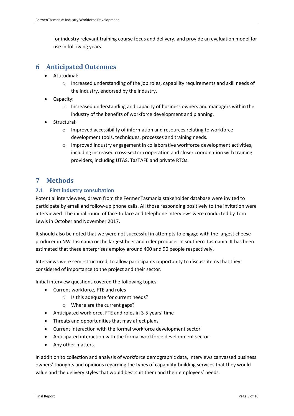for industry relevant training course focus and delivery, and provide an evaluation model for use in following years.

## <span id="page-6-0"></span>**6 Anticipated Outcomes**

- Attitudinal:
	- o Increased understanding of the job roles, capability requirements and skill needs of the industry, endorsed by the industry.
- Capacity:
	- $\circ$  Increased understanding and capacity of business owners and managers within the industry of the benefits of workforce development and planning.
- Structural:
	- o Improved accessibility of information and resources relating to workforce development tools, techniques, processes and training needs.
	- $\circ$  Improved industry engagement in collaborative workforce development activities, including increased cross-sector cooperation and closer coordination with training providers, including UTAS, TasTAFE and private RTOs.

## <span id="page-6-1"></span>**7 Methods**

#### <span id="page-6-2"></span>**7.1 First industry consultation**

Potential interviewees, drawn from the FermenTasmania stakeholder database were invited to participate by email and follow-up phone calls. All those responding positively to the invitation were interviewed. The initial round of face-to face and telephone interviews were conducted by Tom Lewis in October and November 2017.

It should also be noted that we were not successful in attempts to engage with the largest cheese producer in NW Tasmania or the largest beer and cider producer in southern Tasmania. It has been estimated that these enterprises employ around 400 and 90 people respectively.

Interviews were semi-structured, to allow participants opportunity to discuss items that they considered of importance to the project and their sector.

Initial interview questions covered the following topics:

- Current workforce, FTE and roles
	- o Is this adequate for current needs?
	- o Where are the current gaps?
- Anticipated workforce, FTE and roles in 3-5 years' time
- Threats and opportunities that may affect plans
- Current interaction with the formal workforce development sector
- Anticipated interaction with the formal workforce development sector
- Any other matters.

In addition to collection and analysis of workforce demographic data, interviews canvassed business owners' thoughts and opinions regarding the types of capability-building services that they would value and the delivery styles that would best suit them and their employees' needs.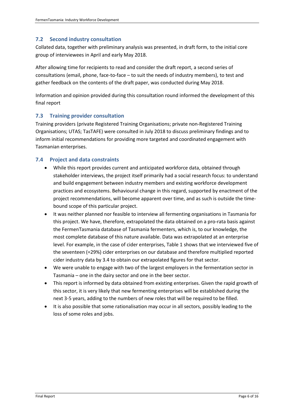#### <span id="page-7-0"></span>**7.2 Second industry consultation**

Collated data, together with preliminary analysis was presented, in draft form, to the initial core group of interviewees in April and early May 2018.

After allowing time for recipients to read and consider the draft report, a second series of consultations (email, phone, face-to-face – to suit the needs of industry members), to test and gather feedback on the contents of the draft paper, was conducted during May 2018.

Information and opinion provided during this consultation round informed the development of this final report

#### <span id="page-7-1"></span>**7.3 Training provider consultation**

Training providers (private Registered Training Organisations; private non-Registered Training Organisations; UTAS; TasTAFE) were consulted in July 2018 to discuss preliminary findings and to inform initial recommendations for providing more targeted and coordinated engagement with Tasmanian enterprises.

#### <span id="page-7-2"></span>**7.4 Project and data constraints**

- While this report provides current and anticipated workforce data, obtained through stakeholder interviews, the project itself primarily had a social research focus: to understand and build engagement between industry members and existing workforce development practices and ecosystems. Behavioural change in this regard, supported by enactment of the project recommendations, will become apparent over time, and as such is outside the timebound scope of this particular project.
- It was neither planned nor feasible to interview all fermenting organisations in Tasmania for this project. We have, therefore, extrapolated the data obtained on a pro-rata basis against the FermenTasmania database of Tasmania fermenters, which is, to our knowledge, the most complete database of this nature available. Data was extrapolated at an enterprise level. For example, in the case of cider enterprises, Table 1 shows that we interviewed five of the seventeen (=29%) cider enterprises on our database and therefore multiplied reported cider industry data by 3.4 to obtain our extrapolated figures for that sector.
- We were unable to engage with two of the largest employers in the fermentation sector in Tasmania – one in the dairy sector and one in the beer sector.
- This report is informed by data obtained from existing enterprises. Given the rapid growth of this sector, it is very likely that new fermenting enterprises will be established during the next 3-5 years, adding to the numbers of new roles that will be required to be filled.
- It is also possible that some rationalisation may occur in all sectors, possibly leading to the loss of some roles and jobs.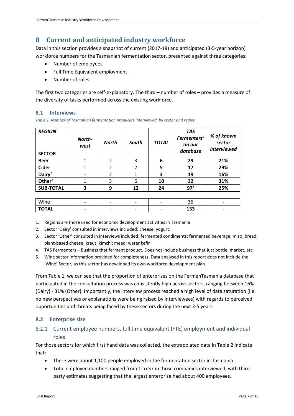# <span id="page-8-0"></span>**8 Current and anticipated industry workforce**

Data in this section provides a snapshot of current (2017-18) and anticipated (3-5-year horizon) workforce numbers for the Tasmanian fermentation sector, presented against three categories:

- Number of employees
- Full Time Equivalent employment
- Number of roles.

The first two categories are self-explanatory. The third – number of roles – provides a measure of the diversity of tasks performed across the existing workforce.

#### <span id="page-8-1"></span>**8.1 Interviews**

*Table 1. Number of Tasmanian fermentation producers interviewed, by sector and region*

| ${\bf \mathit{REGION}^1}$<br><b>SECTOR</b> | North-<br>west | <b>North</b> | South | <b>TOTAL</b> | <b>TAS</b><br>Fermenters <sup>4</sup><br>on our<br>database | % of known<br>sector<br>interviewed |
|--------------------------------------------|----------------|--------------|-------|--------------|-------------------------------------------------------------|-------------------------------------|
| <b>Beer</b>                                |                |              | 3     | 6            | 29                                                          | 21%                                 |
| <b>Cider</b>                               |                | 2            |       | 5            | 17                                                          | 29%                                 |
| Dairy <sup>2</sup>                         |                |              |       | 3            | 19                                                          | 16%                                 |
| Other $3$                                  |                | 3            | 6     | 10           | 32                                                          | 31%                                 |
| <b>SUB-TOTAL</b>                           | 3              | 9            | 12    | 24           | 97 <sup>5</sup>                                             | 25%                                 |

| Wine         | $\blacksquare$ | $\,$ | J             |  |
|--------------|----------------|------|---------------|--|
| <b>TOTAL</b> | -              | $\,$ | $\sim$<br>ᅩJJ |  |

1. Regions are those used for economic development activities in Tasmania

2. Sector 'Dairy' consulted in interviews included: cheese; yogurt.

- 3. Sector 'Other' consulted in interviews included: fermented condiments; fermented beverage; miso; bread; plant-based cheese; kraut; kimchi; mead; water kefir
- 4. TAS Fermenters Business that ferment product. Does not include business that just bottle, market, etc
- 5. Wine sector information provided for completeness. Data analysed in this report does not include the 'Wine' Sector, as this sector has developed its own workforce development plan.

From Table 1, we can see that the proportion of enterprises on the FermenTasmania database that participated in the consultation process was consistently high across sectors, ranging between 16% (Dairy) - 31% (Other). Importantly, the interview process reached a high level of data saturation (i.e. no new perspectives or explanations were being raised by interviewees) with regards to perceived opportunities and threats being faced by these sectors during the next 3-5 years.

#### <span id="page-8-2"></span>**8.2 Enterprise size**

#### 8.2.1 Current employee numbers, full time equivalent (FTE) employment and individual roles

For those sectors for which first hand data was collected, the extrapolated data in Table 2 indicate that:

- There were about 1,100 people employed in the fermentation sector in Tasmania
- Total employee numbers ranged from 1 to 57 in those companies interviewed, with thirdparty estimates suggesting that the largest enterprise had about 400 employees.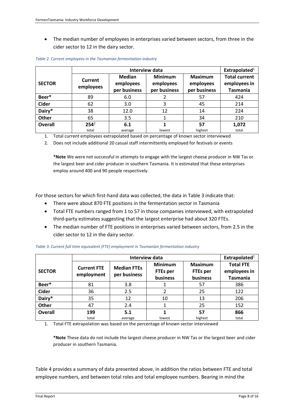• The median number of employees in enterprises varied between sectors, from three in the cider sector to 12 in the dairy sector.

|                | <b>Interview data</b>       |                                            |                                             |                                             |                                                         |  |  |
|----------------|-----------------------------|--------------------------------------------|---------------------------------------------|---------------------------------------------|---------------------------------------------------------|--|--|
| <b>SECTOR</b>  | <b>Current</b><br>employees | <b>Median</b><br>employees<br>per business | <b>Minimum</b><br>employees<br>per business | <b>Maximum</b><br>employees<br>per business | <b>Total current</b><br>employees in<br><b>Tasmania</b> |  |  |
| Beer*          | 89                          | 6.0                                        |                                             | 57                                          | 424                                                     |  |  |
| <b>Cider</b>   | 62                          | 3.0                                        |                                             | 45                                          | 214                                                     |  |  |
| Dairy*         | 38                          | 12.0                                       | 12                                          | 14                                          | 224                                                     |  |  |
| Other          | 65                          | 3.5                                        |                                             | 34                                          | 210                                                     |  |  |
| <b>Overall</b> | $254^2$<br>total            | 6.1<br>average                             | lowest                                      | 57<br>highest                               | 1,072<br>total                                          |  |  |

*Table 2. Current employees in the Tasmanian fermentation industry*

1. Total current employees extrapolated based on percentage of known sector interviewed

2. Does not include additional 20 casual staff intermittently employed for festivals or events

**\*Note** We were not successful in attempts to engage with the largest cheese producer in NW Tas or the largest beer and cider producer in southern Tasmania. It is estimated that these enterprises employ around 400 and 90 people respectively.

For those sectors for which first-hand data was collected, the data in Table 3 indicate that:

- There were about 870 FTE positions in the fermentation sector in Tasmania
- Total FTE numbers ranged from 1 to 57 in those companies interviewed, with extrapolated third-party estimates suggesting that the largest enterprise had about 320 FTEs.
- The median number of FTE positions in enterprises varied between sectors, from 2.5 in the cider sector to 12 in the dairy sector.

|                |                                  | Extrapolated $1$                   |                                               |                                               |                                                     |  |
|----------------|----------------------------------|------------------------------------|-----------------------------------------------|-----------------------------------------------|-----------------------------------------------------|--|
| <b>SECTOR</b>  | <b>Current FTE</b><br>employment | <b>Median FTEs</b><br>per business | <b>Minimum</b><br><b>FTEs per</b><br>business | <b>Maximum</b><br><b>FTEs per</b><br>business | <b>Total FTE</b><br>employees in<br><b>Tasmania</b> |  |
| Beer*          | 81                               | 3.8                                |                                               | 57                                            | 386                                                 |  |
| <b>Cider</b>   | 36                               | 2.5                                |                                               | 25                                            | 122                                                 |  |
| Dairy*         | 35                               | 12                                 | 10                                            | 13                                            | 206                                                 |  |
| Other          | 47                               | 2.4                                |                                               | 25                                            | 152                                                 |  |
| <b>Overall</b> | 199                              | 5.1                                |                                               | 57                                            | 866                                                 |  |
|                | total                            | average                            | lowest                                        | highest                                       | total                                               |  |

*Table 3. Current full time equivalent (FTE) employment in Tasmanian fermentation industry*

1. Total FTE extrapolation was based on the percentage of known sector interviewed

**\*Note** These data do not include the largest cheese producer in NW Tas or the largest beer and cider producer in southern Tasmania.

Table 4 provides a summary of data presented above, in addition the ratios between FTE and total employee numbers, and between total roles and total employee numbers. Bearing in mind the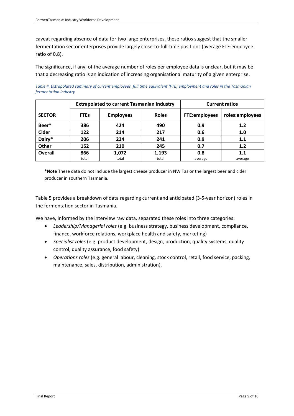caveat regarding absence of data for two large enterprises, these ratios suggest that the smaller fermentation sector enterprises provide largely close-to-full-time positions (average FTE:employee ratio of 0.8).

The significance, if any, of the average number of roles per employee data is unclear, but it may be that a decreasing ratio is an indication of increasing organisational maturity of a given enterprise.

*Table 4. Extrapolated summary of current employees, full time equivalent (FTE) employment and roles in the Tasmanian fermentation industry*

|                |             | <b>Extrapolated to current Tasmanian industry</b> | <b>Current ratios</b> |                      |                 |
|----------------|-------------|---------------------------------------------------|-----------------------|----------------------|-----------------|
| <b>SECTOR</b>  | <b>FTEs</b> | <b>Employees</b>                                  | <b>Roles</b>          | <b>FTE:employees</b> | roles:employees |
| Beer*          | 386         | 424                                               |                       | 0.9                  | 1.2             |
| <b>Cider</b>   | 122         | 214                                               | 217                   | 0.6                  | 1.0             |
| Dairy*         | 206<br>224  |                                                   | 241                   | 0.9                  | 1.1             |
| Other          | 152         | 210                                               | 245                   | 0.7                  | 1.2             |
| <b>Overall</b> | 866         | 1,072                                             | 1,193                 | 0.8                  | $1.1\,$         |
|                | total       | total                                             | total                 | average              | average         |

**\*Note** These data do not include the largest cheese producer in NW Tas or the largest beer and cider producer in southern Tasmania.

Table 5 provides a breakdown of data regarding current and anticipated (3-5-year horizon) roles in the fermentation sector in Tasmania.

We have, informed by the interview raw data, separated these roles into three categories:

- *Leadership/Managerial roles* (e.g. business strategy, business development, compliance, finance, workforce relations, workplace health and safety, marketing)
- *Specialist roles* (e.g. product development, design, production, quality systems, quality control, quality assurance, food safety)
- *Operations roles* (e.g. general labour, cleaning, stock control, retail, food service, packing, maintenance, sales, distribution, administration).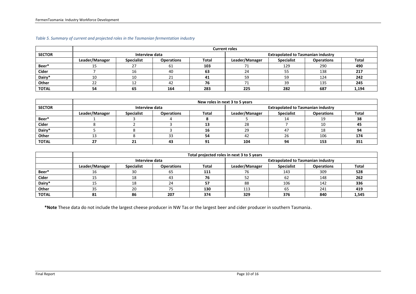|               | <b>Current roles</b> |                   |                   |              |                                           |                   |                   |       |  |  |
|---------------|----------------------|-------------------|-------------------|--------------|-------------------------------------------|-------------------|-------------------|-------|--|--|
| <b>SECTOR</b> |                      | Interview data    |                   |              | <b>Extrapolated to Tasmanian industry</b> |                   |                   |       |  |  |
|               | Leader/Manager       | <b>Specialist</b> | <b>Operations</b> | <b>Total</b> | Leader/Manager                            | <b>Specialist</b> | <b>Operations</b> | Total |  |  |
| Beer*         | ᅩ                    |                   | bТ                | 103          | 71                                        | 129               | 290               | 490   |  |  |
| Cider         |                      |                   | 40                | 63           | 24                                        | 55                | 138               | 217   |  |  |
| Dairy*        | 10                   |                   |                   |              | 59                                        | 59                | 124               | 242   |  |  |
| Other         | $\mathbf{a}$<br>ے    |                   | 42                | 76           |                                           | 39                | 135               | 245   |  |  |
| <b>TOTAL</b>  | 54                   | 65                | 164               | 283          | 225                                       | 282               | 687               | 1,194 |  |  |

#### *Table 5. Summary of current and projected roles in the Tasmanian fermentation industry*

|               | New roles in next 3 to 5 years |                   |                   |       |                                           |                   |                   |       |  |
|---------------|--------------------------------|-------------------|-------------------|-------|-------------------------------------------|-------------------|-------------------|-------|--|
| <b>SECTOR</b> |                                | Interview data    |                   |       | <b>Extrapolated to Tasmanian industry</b> |                   |                   |       |  |
|               | Leader/Manager                 | <b>Specialist</b> | <b>Operations</b> | Total | Leader/Manager                            | <b>Specialist</b> | <b>Operations</b> | Total |  |
| Beer*         |                                |                   |                   |       |                                           |                   | 10                | 38    |  |
| Cider         |                                |                   |                   | 13    | 28                                        |                   | 10                | -45   |  |
| Dairy*        |                                |                   |                   | 16    | 29                                        | 47                | 10                | 94    |  |
| Other         |                                |                   |                   | 54    | 42                                        | 26                | 106               | 174   |  |
| <b>TOTAL</b>  | $\mathbf{z}$<br>21             |                   | 43                | J 1   | 104                                       | 94                | 153               | 351   |  |

|              | Total projected roles in next 3 to 5 years |                   |                   |       |                                           |                   |                   |              |  |  |
|--------------|--------------------------------------------|-------------------|-------------------|-------|-------------------------------------------|-------------------|-------------------|--------------|--|--|
|              |                                            | Interview data    |                   |       | <b>Extrapolated to Tasmanian industry</b> |                   |                   |              |  |  |
|              | Leader/Manager                             | <b>Specialist</b> | <b>Operations</b> | Total | Leader/Manager                            | <b>Specialist</b> | <b>Operations</b> | <b>Total</b> |  |  |
| Beer*        | 16                                         | 30                | 65                | 111   | 76                                        | 143               | 309               | 528          |  |  |
| Cider        | ᅩ                                          | 18                | 43                | 76    | 52                                        | -62               | 148               | 262          |  |  |
| Dairy*       | ᅩ                                          |                   |                   | E7    | 88                                        | 106               | 142               | 336          |  |  |
| Other        | 35                                         | 20                |                   | 130   | 113                                       | 65                | 241               | 419          |  |  |
| <b>TOTAL</b> | 81                                         | 86                | 207               | 374   | 329                                       | 376               | 840               | 1,545        |  |  |

**\*Note** These data do not include the largest cheese producer in NW Tas or the largest beer and cider producer in southern Tasmania.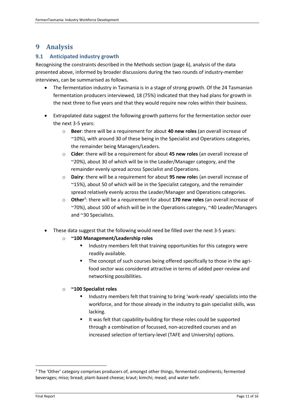# <span id="page-12-0"></span>**9 Analysis**

#### <span id="page-12-1"></span>**9.1 Anticipated industry growth**

Recognising the constraints described in the Methods section (page 6), analysis of the data presented above, informed by broader discussions during the two rounds of industry-member interviews, can be summarised as follows.

- The fermentation industry in Tasmania is in a stage of strong growth. Of the 24 Tasmanian fermentation producers interviewed, 18 (75%) indicated that they had plans for growth in the next three to five years and that they would require new roles within their business.
- Extrapolated data suggest the following growth patterns for the fermentation sector over the next 3-5 years:
	- o **Beer**: there will be a requirement for about **40 new roles** (an overall increase of ~10%), with around 30 of these being in the Specialist and Operations categories, the remainder being Managers/Leaders.
	- o **Cider**: there will be a requirement for about **45 new roles** (an overall increase of ~20%), about 30 of which will be in the Leader/Manager category, and the remainder evenly spread across Specialist and Operations.
	- o **Dairy**: there will be a requirement for about **95 new role**s (an overall increase of ~15%), about 50 of which will be in the Specialist category, and the remainder spread relatively evenly across the Leader/Manager and Operations categories.
	- o **Other**<sup>3</sup> : there will be a requirement for about **170 new roles** (an overall increase of ~70%), about 100 of which will be in the Operations category, ~40 Leader/Managers and ~30 Specialists.
- These data suggest that the following would need be filled over the next 3-5 years:
	- o **~100 Management/Leadership roles**
		- Industry members felt that training opportunities for this category were readily available.
		- The concept of such courses being offered specifically to those in the agrifood sector was considered attractive in terms of added peer-review and networking possibilities.

#### o **~100 Specialist roles**

- Industry members felt that training to bring 'work-ready' specialists into the workforce, and for those already in the industry to gain specialist skills, was lacking.
- It was felt that capability-building for these roles could be supported through a combination of focussed, non-accredited courses and an increased selection of tertiary-level (TAFE and University) options.

1

<sup>&</sup>lt;sup>3</sup> The 'Other' category comprises producers of, amongst other things, fermented condiments; fermented beverages; miso; bread; plant-based cheese; kraut; kimchi; mead; and water kefir.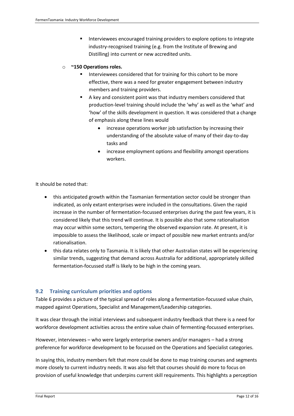■ Interviewees encouraged training providers to explore options to integrate industry-recognised training (e.g. from the Institute of Brewing and Distilling) into current or new accredited units.

#### o **~150 Operations roles.**

- Interviewees considered that for training for this cohort to be more effective, there was a need for greater engagement between industry members and training providers.
- A key and consistent point was that industry members considered that production-level training should include the 'why' as well as the 'what' and 'how' of the skills development in question. It was considered that a change of emphasis along these lines would
	- increase operations worker job satisfaction by increasing their understanding of the absolute value of many of their day-to-day tasks and
	- increase employment options and flexibility amongst operations workers.

It should be noted that:

- this anticipated growth within the Tasmanian fermentation sector could be stronger than indicated, as only extant enterprises were included in the consultations. Given the rapid increase in the number of fermentation-focussed enterprises during the past few years, it is considered likely that this trend will continue. It is possible also that some rationalisation may occur within some sectors, tempering the observed expansion rate. At present, it is impossible to assess the likelihood, scale or impact of possible new market entrants and/or rationalisation.
- this data relates only to Tasmania. It is likely that other Australian states will be experiencing similar trends, suggesting that demand across Australia for additional, appropriately skilled fermentation-focussed staff is likely to be high in the coming years.

#### <span id="page-13-0"></span>**9.2 Training curriculum priorities and options**

Table 6 provides a picture of the typical spread of roles along a fermentation-focussed value chain, mapped against Operations, Specialist and Management/Leadership categories.

It was clear through the initial interviews and subsequent industry feedback that there is a need for workforce development activities across the entire value chain of fermenting-focussed enterprises.

However, interviewees – who were largely enterprise owners and/or managers – had a strong preference for workforce development to be focussed on the Operations and Specialist categories.

In saying this, industry members felt that more could be done to map training courses and segments more closely to current industry needs. It was also felt that courses should do more to focus on provision of useful knowledge that underpins current skill requirements. This highlights a perception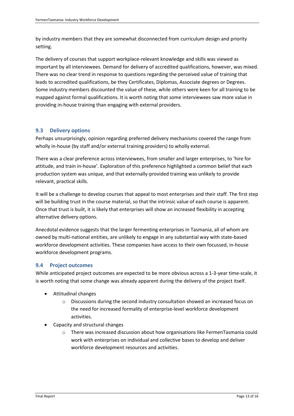by industry members that they are somewhat disconnected from curriculum design and priority setting.

The delivery of courses that support workplace-relevant knowledge and skills was viewed as important by all interviewees. Demand for delivery of accredited qualifications, however, was mixed. There was no clear trend in response to questions regarding the perceived value of training that leads to accredited qualifications, be they Certificates, Diplomas, Associate degrees or Degrees. Some industry members discounted the value of these, while others were keen for all training to be mapped against formal qualifications. It is worth noting that some interviewees saw more value in providing in-house training than engaging with external providers.

#### <span id="page-14-0"></span>**9.3 Delivery options**

Perhaps unsurprisingly, opinion regarding preferred delivery mechanisms covered the range from wholly in-house (by staff and/or external training providers) to wholly external.

There was a clear preference across interviewees, from smaller and larger enterprises, to 'hire for attitude, and train in-house'. Exploration of this preference highlighted a common belief that each production system was unique, and that externally-provided training was unlikely to provide relevant, practical skills.

It will be a challenge to develop courses that appeal to most enterprises and their staff. The first step will be building trust in the course material, so that the intrinsic value of each course is apparent. Once that trust is built, it is likely that enterprises will show an increased flexibility in accepting alternative delivery options.

Anecdotal evidence suggests that the larger fermenting enterprises in Tasmania, all of whom are owned by multi-national entities, are unlikely to engage in any substantial way with state-based workforce development activities. These companies have access to their own focussed, in-house workforce development programs.

#### <span id="page-14-1"></span>**9.4 Project outcomes**

While anticipated project outcomes are expected to be more obvious across a 1-3-year time-scale, it is worth noting that some change was already apparent during the delivery of the project itself.

- Attitudinal changes
	- o Discussions during the second industry consultation showed an increased focus on the need for increased formality of enterprise-level workforce development activities.
- Capacity and structural changes
	- o There was increased discussion about how organisations like FermenTasmania could work with enterprises on individual and collective bases to develop and deliver workforce development resources and activities.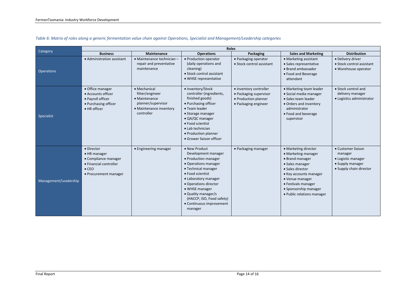|                       | <b>Roles</b>                                                                                                           |                                                                                                                 |                                                                                                                                                                                                                                                                                               |                                                                                                  |                                                                                                                                                                                                                                  |                                                                                                    |  |  |  |  |  |
|-----------------------|------------------------------------------------------------------------------------------------------------------------|-----------------------------------------------------------------------------------------------------------------|-----------------------------------------------------------------------------------------------------------------------------------------------------------------------------------------------------------------------------------------------------------------------------------------------|--------------------------------------------------------------------------------------------------|----------------------------------------------------------------------------------------------------------------------------------------------------------------------------------------------------------------------------------|----------------------------------------------------------------------------------------------------|--|--|--|--|--|
| <b>Category</b>       | <b>Business</b>                                                                                                        | Maintenance                                                                                                     | <b>Operations</b>                                                                                                                                                                                                                                                                             | Packaging                                                                                        | <b>Sales and Marketing</b>                                                                                                                                                                                                       | <b>Distribution</b>                                                                                |  |  |  |  |  |
| <b>Operations</b>     | • Administration assistant                                                                                             | • Maintenance technician -<br>repair and preventative<br>maintenance                                            | • Production operator<br>(daily operations and<br>cleaning)<br>• Stock control assistant<br>• WHSE representative                                                                                                                                                                             | • Packaging operator<br>• Stock control assistant                                                | • Marketing assistant<br>· Sales representative<br>• Brand ambassador<br>• Food and Beverage<br>attendant                                                                                                                        | • Delivery driver<br>• Stock control assistant<br>• Warehouse operator                             |  |  |  |  |  |
| Specialist            | • Office manager<br>• Accounts officer<br>· Payroll officer<br>• Purchasing officer<br>· HR officer                    | · Mechanical<br>fitter/engineer<br>• Maintenance<br>planner/supervisor<br>• Maintenance inventory<br>controller | • Inventory/Stock<br>controller (ingredients,<br>finished goods)<br>• Purchasing officer<br>• Team leader<br>• Storage manager<br>• QA/QC manager<br>• Food scientist<br>• Lab technician<br>• Production planner<br>• Grower liaison officer                                                 | · Inventory controller<br>• Packaging supervisor<br>• Production planner<br>• Packaging engineer | • Marketing team leader<br>· Social media manager<br>• Sales team leader<br>• Orders and inventory<br>administrator<br>• Food and beverage<br>supervisor                                                                         | • Stock control and<br>delivery manager<br>• Logistics administrator                               |  |  |  |  |  |
| Management/Leadership | • Director<br>• HR manager<br>• Compliance manager<br>• Financial controller<br>$\bullet$ CEO<br>• Procurement manager | • Engineering manager                                                                                           | • New Product<br>Development manager<br>• Production manager<br>• Operations manager<br>• Technical manager<br>• Food scientist<br>• Laboratory manager<br>• Operations director<br>• WHSE manager<br>• Quality manager/s<br>(HACCP, ISO, Food safety)<br>• Continuous improvement<br>manager | • Packaging manager                                                                              | • Marketing director<br>• Marketing manager<br>• Brand manager<br>· Sales manager<br>• Sales director<br>• Key accounts manager<br>• Venue manager<br>• Festivals manager<br>• Sponsorship manager<br>• Public relations manager | • Customer liaison<br>manager<br>• Logistic manager<br>• Supply manager<br>• Supply chain director |  |  |  |  |  |

#### *Table 6: Matrix of roles along a generic fermentation value chain against Operations, Specialist and Management/Leadership categories*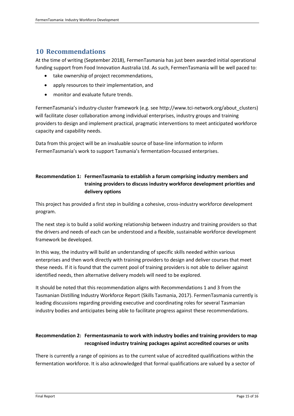# <span id="page-16-0"></span>**10 Recommendations**

At the time of writing (September 2018), FermenTasmania has just been awarded initial operational funding support from Food Innovation Australia Ltd. As such, FermenTasmania will be well paced to:

- take ownership of project recommendations,
- apply resources to their implementation, and
- monitor and evaluate future trends.

FermenTasmania's industry-cluster framework (e.g. see http://www.tci-network.org/about\_clusters) will facilitate closer collaboration among individual enterprises, industry groups and training providers to design and implement practical, pragmatic interventions to meet anticipated workforce capacity and capability needs.

Data from this project will be an invaluable source of base-line information to inform FermenTasmania's work to support Tasmania's fermentation-focussed enterprises.

#### **Recommendation 1: FermenTasmania to establish a forum comprising industry members and training providers to discuss industry workforce development priorities and delivery options**

This project has provided a first step in building a cohesive, cross-industry workforce development program.

The next step is to build a solid working relationship between industry and training providers so that the drivers and needs of each can be understood and a flexible, sustainable workforce development framework be developed.

In this way, the industry will build an understanding of specific skills needed within various enterprises and then work directly with training providers to design and deliver courses that meet these needs. If it is found that the current pool of training providers is not able to deliver against identified needs, then alternative delivery models will need to be explored.

It should be noted that this recommendation aligns with Recommendations 1 and 3 from the Tasmanian Distilling Industry Workforce Report (Skills Tasmania, 2017). FermenTasmania currently is leading discussions regarding providing executive and coordinating roles for several Tasmanian industry bodies and anticipates being able to facilitate progress against these recommendations.

#### **Recommendation 2: Fermentasmania to work with industry bodies and training providers to map recognised industry training packages against accredited courses or units**

There is currently a range of opinions as to the current value of accredited qualifications within the fermentation workforce. It is also acknowledged that formal qualifications are valued by a sector of